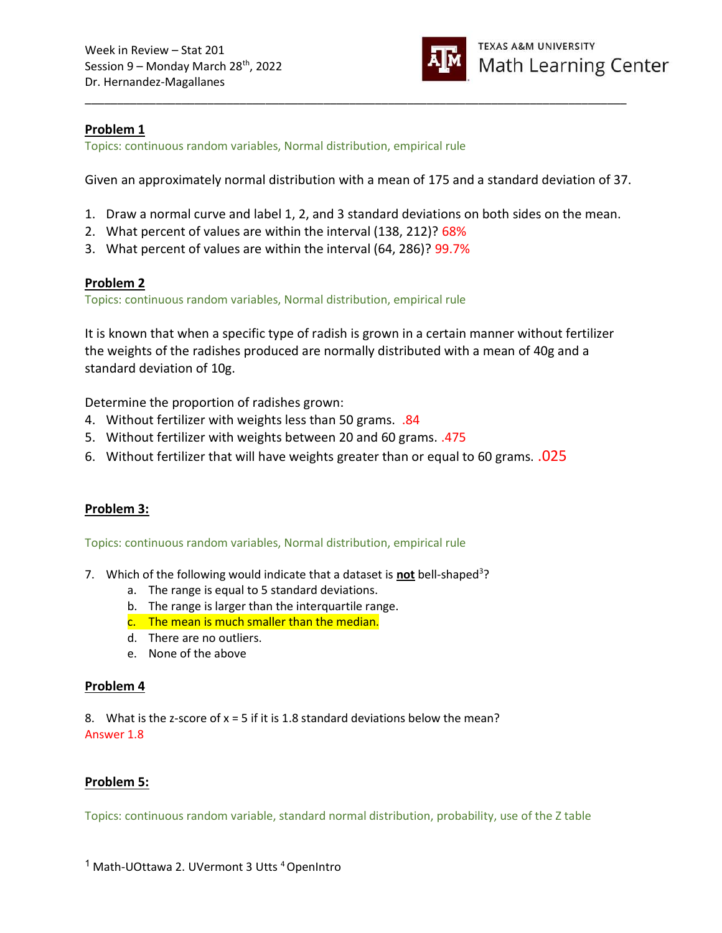

## Problem 1

Topics: continuous random variables, Normal distribution, empirical rule

Given an approximately normal distribution with a mean of 175 and a standard deviation of 37.

\_\_\_\_\_\_\_\_\_\_\_\_\_\_\_\_\_\_\_\_\_\_\_\_\_\_\_\_\_\_\_\_\_\_\_\_\_\_\_\_\_\_\_\_\_\_\_\_\_\_\_\_\_\_\_\_\_\_\_\_\_\_\_\_\_\_\_\_\_\_\_\_\_\_\_\_\_\_\_\_\_\_\_\_

- 1. Draw a normal curve and label 1, 2, and 3 standard deviations on both sides on the mean.
- 2. What percent of values are within the interval (138, 212)? 68%
- 3. What percent of values are within the interval (64, 286)? 99.7%

## Problem 2

Topics: continuous random variables, Normal distribution, empirical rule

It is known that when a specific type of radish is grown in a certain manner without fertilizer the weights of the radishes produced are normally distributed with a mean of 40g and a standard deviation of 10g.

Determine the proportion of radishes grown:

- 4. Without fertilizer with weights less than 50 grams. .84
- 5. Without fertilizer with weights between 20 and 60 grams. .475
- 6. Without fertilizer that will have weights greater than or equal to 60 grams. .025

# Problem 3:

Topics: continuous random variables, Normal distribution, empirical rule

- 7. Which of the following would indicate that a dataset is **not** bell-shaped<sup>3</sup>?
	- a. The range is equal to 5 standard deviations.
	- b. The range is larger than the interquartile range.
	- c. The mean is much smaller than the median.
	- d. There are no outliers.
	- e. None of the above

## Problem 4

8. What is the z-score of  $x = 5$  if it is 1.8 standard deviations below the mean? Answer 1.8

# Problem 5:

Topics: continuous random variable, standard normal distribution, probability, use of the Z table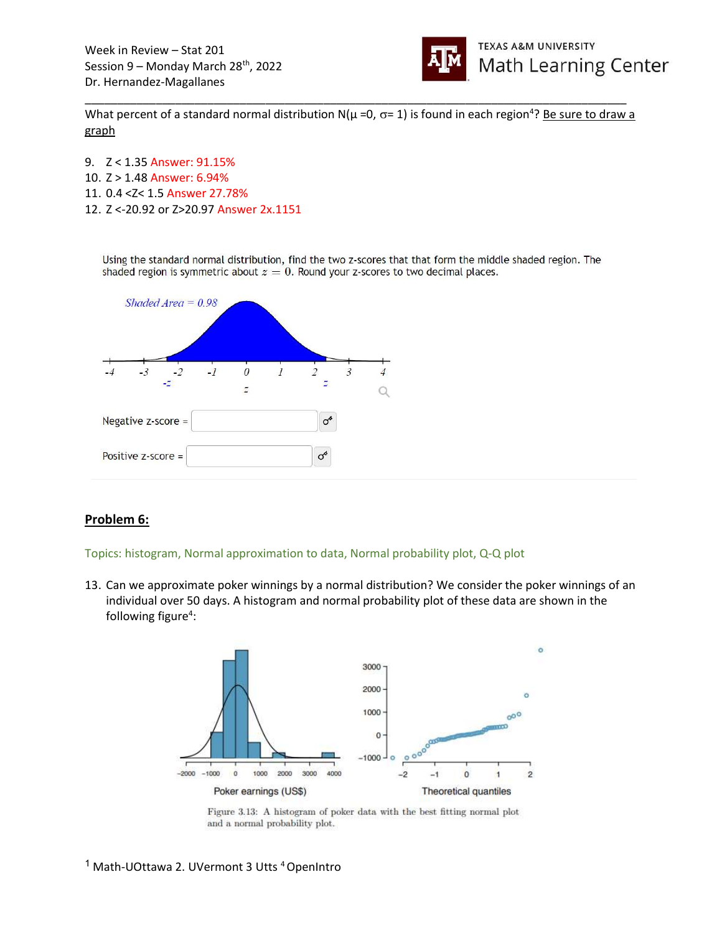

What percent of a standard normal distribution N( $\mu$  =0,  $\sigma$ = 1) is found in each region<sup>4</sup>? Be sure to draw a graph

\_\_\_\_\_\_\_\_\_\_\_\_\_\_\_\_\_\_\_\_\_\_\_\_\_\_\_\_\_\_\_\_\_\_\_\_\_\_\_\_\_\_\_\_\_\_\_\_\_\_\_\_\_\_\_\_\_\_\_\_\_\_\_\_\_\_\_\_\_\_\_\_\_\_\_\_\_\_\_\_\_\_\_\_

9. Z < 1.35 Answer: 91.15% 10. Z > 1.48 Answer: 6.94% 11. 0.4 <Z< 1.5 Answer 27.78% 12. Z <-20.92 or Z>20.97 Answer 2x.1151

Using the standard normal distribution, find the two z-scores that that form the middle shaded region. The shaded region is symmetric about  $z = 0$ . Round your z-scores to two decimal places.



## Problem 6:

Topics: histogram, Normal approximation to data, Normal probability plot, Q-Q plot

13. Can we approximate poker winnings by a normal distribution? We consider the poker winnings of an individual over 50 days. A histogram and normal probability plot of these data are shown in the following figure<sup>4</sup>:



Figure 3.13: A histogram of poker data with the best fitting normal plot and a normal probability plot.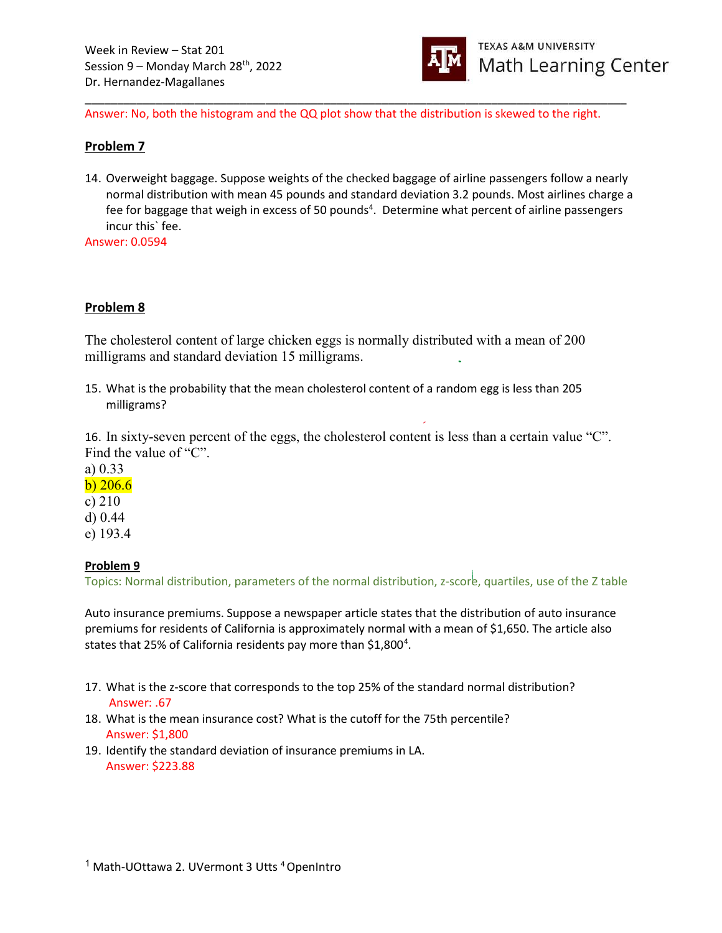

Answer: No, both the histogram and the QQ plot show that the distribution is skewed to the right.

\_\_\_\_\_\_\_\_\_\_\_\_\_\_\_\_\_\_\_\_\_\_\_\_\_\_\_\_\_\_\_\_\_\_\_\_\_\_\_\_\_\_\_\_\_\_\_\_\_\_\_\_\_\_\_\_\_\_\_\_\_\_\_\_\_\_\_\_\_\_\_\_\_\_\_\_\_\_\_\_\_\_\_\_

#### Problem 7

14. Overweight baggage. Suppose weights of the checked baggage of airline passengers follow a nearly normal distribution with mean 45 pounds and standard deviation 3.2 pounds. Most airlines charge a fee for baggage that weigh in excess of 50 pounds<sup>4</sup>. Determine what percent of airline passengers incur this` fee.

Answer: 0.0594

## Problem 8

The cholesterol content of large chicken eggs is normally distributed with a mean of 200 milligrams and standard deviation 15 milligrams.

15. What is the probability that the mean cholesterol content of a random egg is less than 205 milligrams?

16. In sixty-seven percent of the eggs, the cholesterol content is less than a certain value "C". Find the value of "C".

a) 0.33

b) 206.6

- c) 210 d) 0.44
- e) 193.4

#### Problem 9

Topics: Normal distribution, parameters of the normal distribution, z-score, quartiles, use of the Z table

Auto insurance premiums. Suppose a newspaper article states that the distribution of auto insurance premiums for residents of California is approximately normal with a mean of \$1,650. The article also states that 25% of California residents pay more than \$1,800<sup>4</sup>.

- 17. What is the z-score that corresponds to the top 25% of the standard normal distribution? Answer: .67
- 18. What is the mean insurance cost? What is the cutoff for the 75th percentile? Answer: \$1,800
- 19. Identify the standard deviation of insurance premiums in LA. Answer: \$223.88